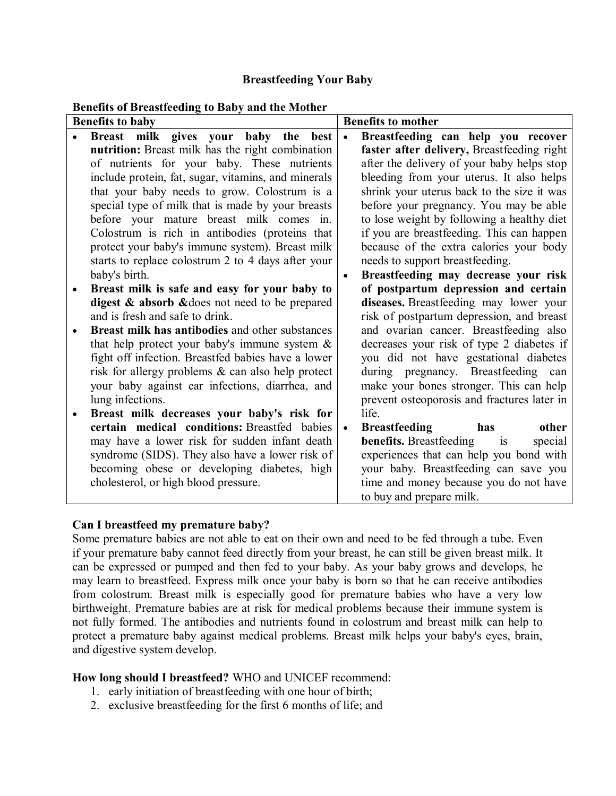## **Breastfeeding Your Baby**

#### **Benefits of Breastfeeding to Baby and the Mother**

| <b>Benefits to baby</b> |                                                     | <b>Benefits to mother</b> |                                              |
|-------------------------|-----------------------------------------------------|---------------------------|----------------------------------------------|
|                         | Breast milk gives your baby the<br>best             | $\bullet$                 | Breastfeeding can help you recover           |
|                         | nutrition: Breast milk has the right combination    |                           | faster after delivery, Breastfeeding right   |
|                         | of nutrients for your baby. These nutrients         |                           | after the delivery of your baby helps stop   |
|                         | include protein, fat, sugar, vitamins, and minerals |                           | bleeding from your uterus. It also helps     |
|                         | that your baby needs to grow. Colostrum is a        |                           | shrink your uterus back to the size it was   |
|                         | special type of milk that is made by your breasts   |                           | before your pregnancy. You may be able       |
|                         | before your mature breast milk comes in.            |                           | to lose weight by following a healthy diet   |
|                         | Colostrum is rich in antibodies (proteins that      |                           | if you are breastfeeding. This can happen    |
|                         | protect your baby's immune system). Breast milk     |                           | because of the extra calories your body      |
|                         | starts to replace colostrum 2 to 4 days after your  |                           | needs to support breastfeeding.              |
|                         | baby's birth.                                       |                           | Breastfeeding may decrease your risk         |
| $\bullet$               | Breast milk is safe and easy for your baby to       |                           | of postpartum depression and certain         |
|                         | digest & absorb & does not need to be prepared      |                           | diseases. Breastfeeding may lower your       |
|                         | and is fresh and safe to drink.                     |                           | risk of postpartum depression, and breast    |
|                         | Breast milk has antibodies and other substances     |                           | and ovarian cancer. Breastfeeding also       |
|                         | that help protect your baby's immune system $\&$    |                           | decreases your risk of type 2 diabetes if    |
|                         | fight off infection. Breastfed babies have a lower  |                           | you did not have gestational diabetes        |
|                         | risk for allergy problems & can also help protect   |                           | during pregnancy. Breastfeeding can          |
|                         | your baby against ear infections, diarrhea, and     |                           | make your bones stronger. This can help      |
|                         | lung infections.                                    |                           | prevent osteoporosis and fractures later in  |
|                         | Breast milk decreases your baby's risk for          |                           | life.                                        |
|                         | certain medical conditions: Breastfed babies        | $\bullet$                 | <b>Breastfeeding</b><br>other<br>has         |
|                         | may have a lower risk for sudden infant death       |                           | <b>benefits.</b> Breastfeeding is<br>special |
|                         | syndrome (SIDS). They also have a lower risk of     |                           | experiences that can help you bond with      |
|                         | becoming obese or developing diabetes, high         |                           | your baby. Breastfeeding can save you        |
|                         | cholesterol, or high blood pressure.                |                           | time and money because you do not have       |
|                         |                                                     |                           | to buy and prepare milk.                     |

### **Can I breastfeed my premature baby?**

Some premature babies are not able to eat on their own and need to be fed through a tube. Even if your premature baby cannot feed directly from your breast, he can still be given breast milk. It can be expressed or pumped and then fed to your baby. As your baby grows and develops, he may learn to breastfeed. Express milk once your baby is born so that he can receive antibodies from colostrum. Breast milk is especially good for premature babies who have a very low birthweight. Premature babies are at risk for medical problems because their immune system is not fully formed. The antibodies and nutrients found in colostrum and breast milk can help to protect a premature baby against medical problems. Breast milk helps your baby's eyes, brain, and digestive system develop.

### **How long should I breastfeed?** WHO and UNICEF recommend:

- 1. early initiation of breastfeeding with one hour of birth;
- 2. exclusive breastfeeding for the first 6 months of life; and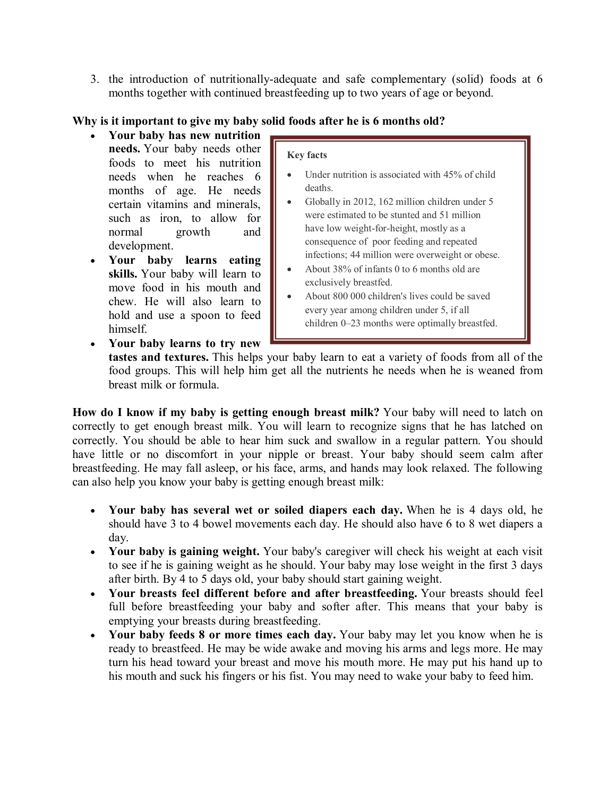3. the introduction of nutritionally-adequate and safe complementary (solid) foods at 6 months together with continued breastfeeding up to two years of age or beyond.

# **Why is it important to give my baby solid foods after he is 6 months old?**

- **Your baby has new nutrition needs.** Your baby needs other foods to meet his nutrition needs when he reaches 6 months of age. He needs certain vitamins and minerals, such as iron, to allow for normal growth and development.
- **Your baby learns eating skills.** Your baby will learn to move food in his mouth and chew. He will also learn to hold and use a spoon to feed himself.

#### **Key facts**

- Under nutrition is associated with 45% of child deaths.
- Globally in 2012, 162 million children under 5 were estimated to be stunted and 51 million have low weight-for-height, mostly as a consequence of poor feeding and repeated infections; 44 million were overweight or obese.
- About 38% of infants 0 to 6 months old are exclusively breastfed.
- About 800 000 children's lives could be saved every year among children under 5, if all children 0–23 months were optimally breastfed.
- **Your baby learns to try new**

**tastes and textures.** This helps your baby learn to eat a variety of foods from all of the food groups. This will help him get all the nutrients he needs when he is weaned from breast milk or formula.

**How do I know if my baby is getting enough breast milk?** Your baby will need to latch on correctly to get enough breast milk. You will learn to recognize signs that he has latched on correctly. You should be able to hear him suck and swallow in a regular pattern. You should have little or no discomfort in your nipple or breast. Your baby should seem calm after breastfeeding. He may fall asleep, or his face, arms, and hands may look relaxed. The following can also help you know your baby is getting enough breast milk:

- **Your baby has several wet or soiled diapers each day.** When he is 4 days old, he should have 3 to 4 bowel movements each day. He should also have 6 to 8 wet diapers a day.
- **Your baby is gaining weight.** Your baby's caregiver will check his weight at each visit to see if he is gaining weight as he should. Your baby may lose weight in the first 3 days after birth. By 4 to 5 days old, your baby should start gaining weight.
- **Your breasts feel different before and after breastfeeding.** Your breasts should feel full before breastfeeding your baby and softer after. This means that your baby is emptying your breasts during breastfeeding.
- **Your baby feeds 8 or more times each day.** Your baby may let you know when he is ready to breastfeed. He may be wide awake and moving his arms and legs more. He may turn his head toward your breast and move his mouth more. He may put his hand up to his mouth and suck his fingers or his fist. You may need to wake your baby to feed him.